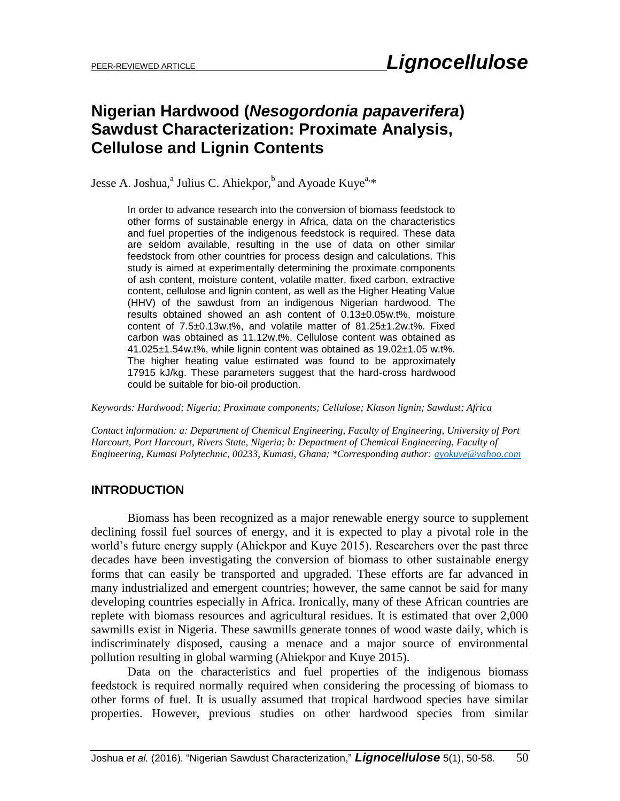# **Nigerian Hardwood (***Nesogordonia papaverifera***) Sawdust Characterization: Proximate Analysis, Cellulose and Lignin Contents**

Jesse A. Joshua,<sup>a</sup> Julius C. Ahiekpor,<sup>b</sup> and Ayoade Kuye<sup>a,\*</sup>

In order to advance research into the conversion of biomass feedstock to other forms of sustainable energy in Africa, data on the characteristics and fuel properties of the indigenous feedstock is required. These data are seldom available, resulting in the use of data on other similar feedstock from other countries for process design and calculations. This study is aimed at experimentally determining the proximate components of ash content, moisture content, volatile matter, fixed carbon, extractive content, cellulose and lignin content, as well as the Higher Heating Value (HHV) of the sawdust from an indigenous Nigerian hardwood. The results obtained showed an ash content of 0.13±0.05w.t%, moisture content of 7.5±0.13w.t%, and volatile matter of 81.25±1.2w.t%. Fixed carbon was obtained as 11.12w.t%. Cellulose content was obtained as  $41.025\pm1.54$  w.t%, while lignin content was obtained as  $19.02\pm1.05$  w.t%. The higher heating value estimated was found to be approximately 17915 kJ/kg. These parameters suggest that the hard-cross hardwood could be suitable for bio-oil production.

*Keywords: Hardwood; Nigeria; Proximate components; Cellulose; Klason lignin; Sawdust; Africa*

*Contact information: a: Department of Chemical Engineering, Faculty of Engineering, University of Port Harcourt, Port Harcourt, Rivers State, Nigeria; b: Department of Chemical Engineering, Faculty of Engineering, Kumasi Polytechnic, 00233, Kumasi, Ghana; \*Corresponding author: [ayokuye@yahoo.com](mailto:ayokuye@yahoo.com)*

## **INTRODUCTION**

Biomass has been recognized as a major renewable energy source to supplement declining fossil fuel sources of energy, and it is expected to play a pivotal role in the world's future energy supply (Ahiekpor and Kuye 2015). Researchers over the past three decades have been investigating the conversion of biomass to other sustainable energy forms that can easily be transported and upgraded. These efforts are far advanced in many industrialized and emergent countries; however, the same cannot be said for many developing countries especially in Africa. Ironically, many of these African countries are replete with biomass resources and agricultural residues. It is estimated that over 2,000 sawmills exist in Nigeria. These sawmills generate tonnes of wood waste daily, which is indiscriminately disposed, causing a menace and a major source of environmental pollution resulting in global warming (Ahiekpor and Kuye 2015).

Data on the characteristics and fuel properties of the indigenous biomass feedstock is required normally required when considering the processing of biomass to other forms of fuel. It is usually assumed that tropical hardwood species have similar properties. However, previous studies on other hardwood species from similar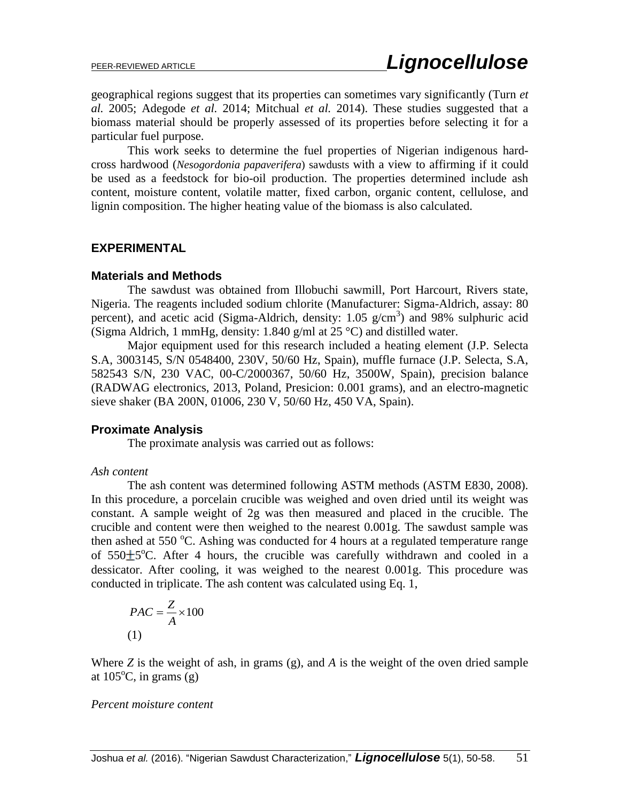geographical regions suggest that its properties can sometimes vary significantly (Turn *et al.* 2005; Adegode *et al.* 2014; Mitchual *et al.* 2014). These studies suggested that a biomass material should be properly assessed of its properties before selecting it for a particular fuel purpose.

This work seeks to determine the fuel properties of Nigerian indigenous hardcross hardwood (*Nesogordonia papaverifera*) sawdusts with a view to affirming if it could be used as a feedstock for bio-oil production. The properties determined include ash content, moisture content, volatile matter, fixed carbon, organic content, cellulose, and lignin composition. The higher heating value of the biomass is also calculated.

#### **EXPERIMENTAL**

#### **Materials and Methods**

The sawdust was obtained from Illobuchi sawmill, Port Harcourt, Rivers state, Nigeria. The reagents included sodium chlorite (Manufacturer: Sigma-Aldrich, assay: 80 percent), and acetic acid (Sigma-Aldrich, density: 1.05 g/cm<sup>3</sup>) and 98% sulphuric acid (Sigma Aldrich, 1 mmHg, density: 1.840 g/ml at  $25^{\circ}$ C) and distilled water.

Major equipment used for this research included a heating element (J.P. Selecta S.A, 3003145, S/N 0548400, 230V, 50/60 Hz, Spain), muffle furnace (J.P. Selecta, S.A, 582543 S/N, 230 VAC, 00-C/2000367, 50/60 Hz, 3500W, Spain), precision balance (RADWAG electronics, 2013, Poland, Presicion: 0.001 grams), and an electro-magnetic sieve shaker (BA 200N, 01006, 230 V, 50/60 Hz, 450 VA, Spain).

#### **Proximate Analysis**

The proximate analysis was carried out as follows:

#### *Ash content*

The ash content was determined following ASTM methods (ASTM E830, 2008). In this procedure, a porcelain crucible was weighed and oven dried until its weight was constant. A sample weight of 2g was then measured and placed in the crucible. The crucible and content were then weighed to the nearest 0.001g. The sawdust sample was then ashed at 550  $\degree$ C. Ashing was conducted for 4 hours at a regulated temperature range of  $550±5$ °C. After 4 hours, the crucible was carefully withdrawn and cooled in a dessicator. After cooling, it was weighed to the nearest 0.001g. This procedure was conducted in triplicate. The ash content was calculated using Eq. 1,

$$
PAC = \frac{Z}{A} \times 100
$$
  
(1)

Where *Z* is the weight of ash, in grams (g), and *A* is the weight of the oven dried sample at  $105^{\circ}$ C, in grams (g)

#### *Percent moisture content*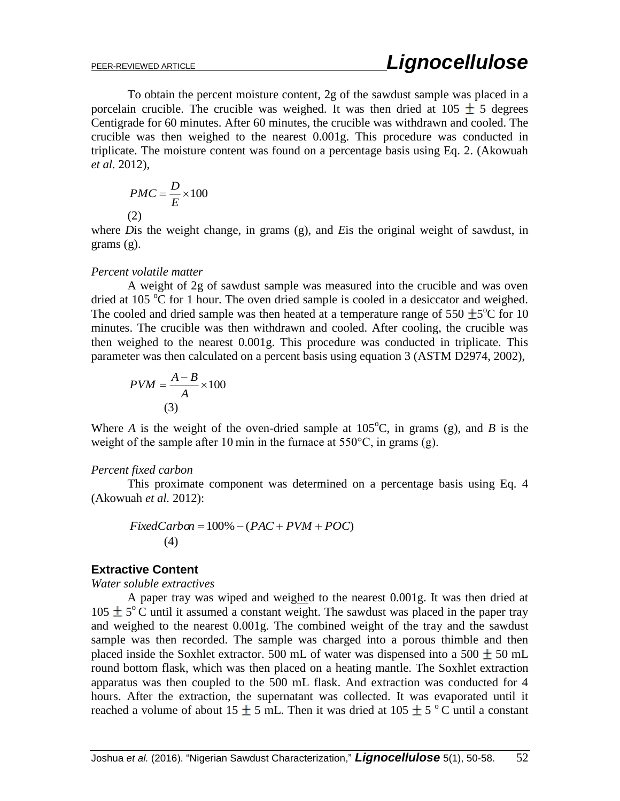To obtain the percent moisture content, 2g of the sawdust sample was placed in a porcelain crucible. The crucible was weighed. It was then dried at  $105 \pm 5$  degrees Centigrade for 60 minutes. After 60 minutes, the crucible was withdrawn and cooled. The crucible was then weighed to the nearest 0.001g. This procedure was conducted in triplicate. The moisture content was found on a percentage basis using Eq. 2. (Akowuah *et al.* 2012),

$$
PMC = \frac{D}{E} \times 100
$$
  
(2)

where *D*is the weight change, in grams (g), and *E*is the original weight of sawdust, in grams (g).

#### *Percent volatile matter*

A weight of 2g of sawdust sample was measured into the crucible and was oven dried at 105  $\rm{^{\circ}C}$  for 1 hour. The oven dried sample is cooled in a desiccator and weighed. The cooled and dried sample was then heated at a temperature range of 550  $\pm$ 5<sup>o</sup>C for 10 minutes. The crucible was then withdrawn and cooled. After cooling, the crucible was then weighed to the nearest 0.001g. This procedure was conducted in triplicate. This parameter was then calculated on a percent basis using equation 3 (ASTM D2974, 2002),

$$
PVM = \frac{A - B}{A} \times 100
$$
  
(3)

Where *A* is the weight of the oven-dried sample at  $105^{\circ}$ C, in grams (g), and *B* is the weight of the sample after 10 min in the furnace at 550°C, in grams (g).

#### *Percent fixed carbon*

This proximate component was determined on a percentage basis using Eq. 4 (Akowuah *et al.* 2012):

$$
FixedCarbon = 100\% - (PAC + PVM + POC)
$$
  
(4)

#### **Extractive Content**

#### *Water soluble extractives*

A paper tray was wiped and weighed to the nearest 0.001g. It was then dried at 105  $\pm$  5°C until it assumed a constant weight. The sawdust was placed in the paper tray and weighed to the nearest 0.001g. The combined weight of the tray and the sawdust sample was then recorded. The sample was charged into a porous thimble and then placed inside the Soxhlet extractor. 500 mL of water was dispensed into a 500  $\pm$  50 mL round bottom flask, which was then placed on a heating mantle. The Soxhlet extraction apparatus was then coupled to the 500 mL flask. And extraction was conducted for 4 hours. After the extraction, the supernatant was collected. It was evaporated until it reached a volume of about 15  $\pm$  5 mL. Then it was dried at 105  $\pm$  5 °C until a constant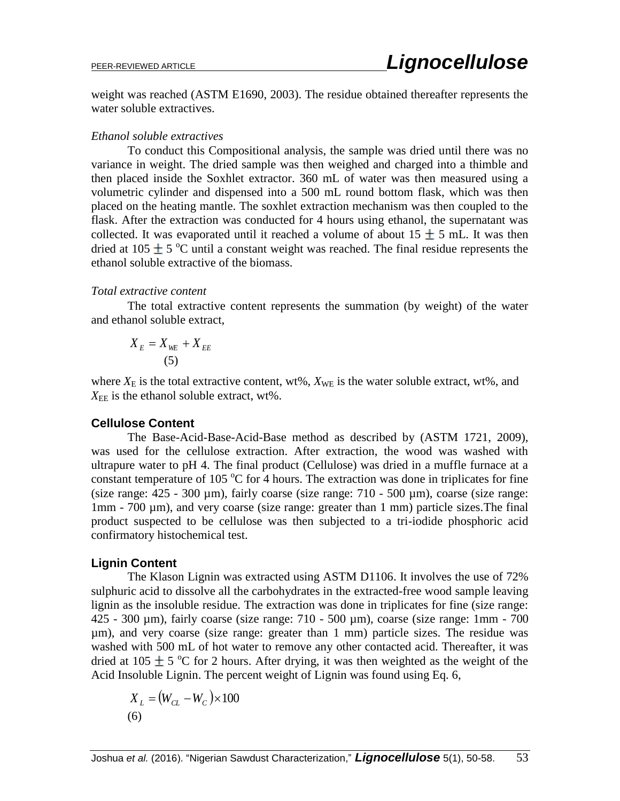weight was reached (ASTM E1690, 2003). The residue obtained thereafter represents the water soluble extractives.

#### *Ethanol soluble extractives*

To conduct this Compositional analysis, the sample was dried until there was no variance in weight. The dried sample was then weighed and charged into a thimble and then placed inside the Soxhlet extractor. 360 mL of water was then measured using a volumetric cylinder and dispensed into a 500 mL round bottom flask, which was then placed on the heating mantle. The soxhlet extraction mechanism was then coupled to the flask. After the extraction was conducted for 4 hours using ethanol, the supernatant was collected. It was evaporated until it reached a volume of about  $15 \pm 5$  mL. It was then dried at 105  $\pm$  5 °C until a constant weight was reached. The final residue represents the ethanol soluble extractive of the biomass.

#### *Total extractive content*

The total extractive content represents the summation (by weight) of the water and ethanol soluble extract,

$$
X_E = X_{WE} + X_{EE}
$$
  
(5)

where  $X_E$  is the total extractive content, wt%,  $X_{WE}$  is the water soluble extract, wt%, and  $X_{\text{EE}}$  is the ethanol soluble extract, wt%.

#### **Cellulose Content**

The Base-Acid-Base-Acid-Base method as described by (ASTM 1721, 2009), was used for the cellulose extraction. After extraction, the wood was washed with ultrapure water to pH 4. The final product (Cellulose) was dried in a muffle furnace at a constant temperature of 105  $\degree$ C for 4 hours. The extraction was done in triplicates for fine (size range:  $425 - 300 \text{ \mu m}$ ), fairly coarse (size range:  $710 - 500 \text{ \mu m}$ ), coarse (size range: 1mm - 700 µm), and very coarse (size range: greater than 1 mm) particle sizes.The final product suspected to be cellulose was then subjected to a tri-iodide phosphoric acid confirmatory histochemical test.

#### **Lignin Content**

The Klason Lignin was extracted using ASTM D1106. It involves the use of 72% sulphuric acid to dissolve all the carbohydrates in the extracted-free wood sample leaving lignin as the insoluble residue. The extraction was done in triplicates for fine (size range: 425 - 300 µm), fairly coarse (size range: 710 - 500 µm), coarse (size range: 1mm - 700 µm), and very coarse (size range: greater than 1 mm) particle sizes. The residue was washed with 500 mL of hot water to remove any other contacted acid. Thereafter, it was dried at 105  $\pm$  5 °C for 2 hours. After drying, it was then weighted as the weight of the Acid Insoluble Lignin. The percent weight of Lignin was found using Eq. 6,

$$
X_L = (W_{CL} - W_C) \times 100
$$
  
(6)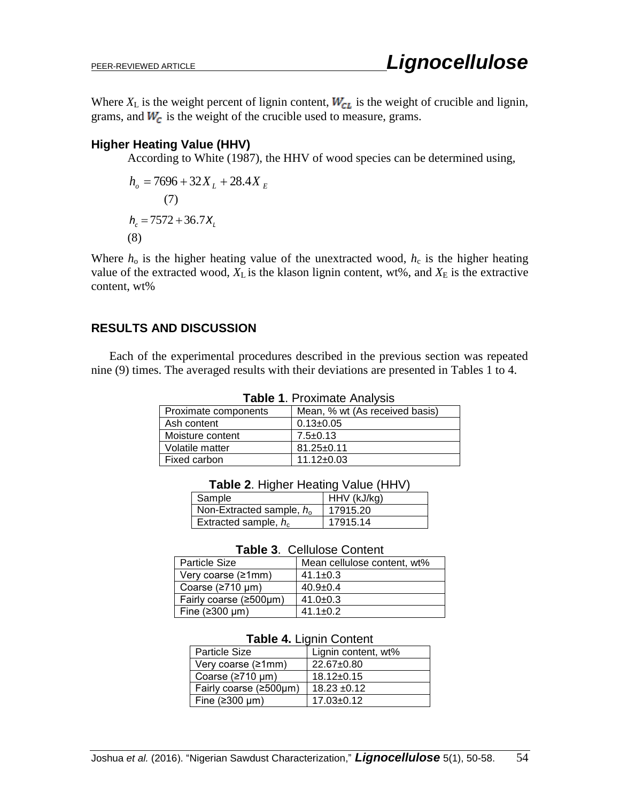Where  $X_L$  is the weight percent of lignin content,  $W_{CL}$  is the weight of crucible and lignin, grams, and  $W_c$  is the weight of the crucible used to measure, grams.

# **Higher Heating Value (HHV)**

According to White (1987), the HHV of wood species can be determined using,

$$
h_o = 7696 + 32X_L + 28.4X_E
$$
  
(7)  

$$
h_c = 7572 + 36.7X_L
$$
  
(8)

Where  $h_0$  is the higher heating value of the unextracted wood,  $h_c$  is the higher heating value of the extracted wood,  $X_L$  is the klason lignin content, wt%, and  $X_E$  is the extractive content, wt%

# **RESULTS AND DISCUSSION**

Each of the experimental procedures described in the previous section was repeated nine (9) times. The averaged results with their deviations are presented in Tables 1 to 4.

| Proximate components | Mean, % wt (As received basis) |  |  |
|----------------------|--------------------------------|--|--|
| Ash content          | $0.13 \pm 0.05$                |  |  |
| Moisture content     | $7.5 \pm 0.13$                 |  |  |
| Volatile matter      | $81.25 \pm 0.11$               |  |  |
| Fixed carbon         | $11.12 \pm 0.03$               |  |  |

**Table 1**. Proximate Analysis

| <b>Table 2. Higher Heating Value (HHV)</b> |  |  |  |
|--------------------------------------------|--|--|--|
|                                            |  |  |  |

| Sample                        | HHV (kJ/kg) |
|-------------------------------|-------------|
| Non-Extracted sample, $h_{0}$ | 17915.20    |
| Extracted sample, $h_c$       | 17915.14    |

#### **Table 3**. Cellulose Content

| <b>Particle Size</b>   | Mean cellulose content, wt% |
|------------------------|-----------------------------|
| Very coarse (≥1mm)     | 41.1 $\pm$ 0.3              |
| Coarse $(2710 \mu m)$  | $40.9 \pm 0.4$              |
| Fairly coarse (≥500µm) | 41.0 $\pm$ 0.3              |
| Fine $(2300 \mu m)$    | $41.1 \pm 0.2$              |

#### **Table 4.** Lignin Content

| <b>Particle Size</b>   | Lignin content, wt% |
|------------------------|---------------------|
| Very coarse (≥1mm)     | 22.67±0.80          |
| Coarse $(2710 \mu m)$  | $18.12 \pm 0.15$    |
| Fairly coarse (≥500µm) | $18.23 \pm 0.12$    |
| Fine $(2300 \mu m)$    | $17.03 + 0.12$      |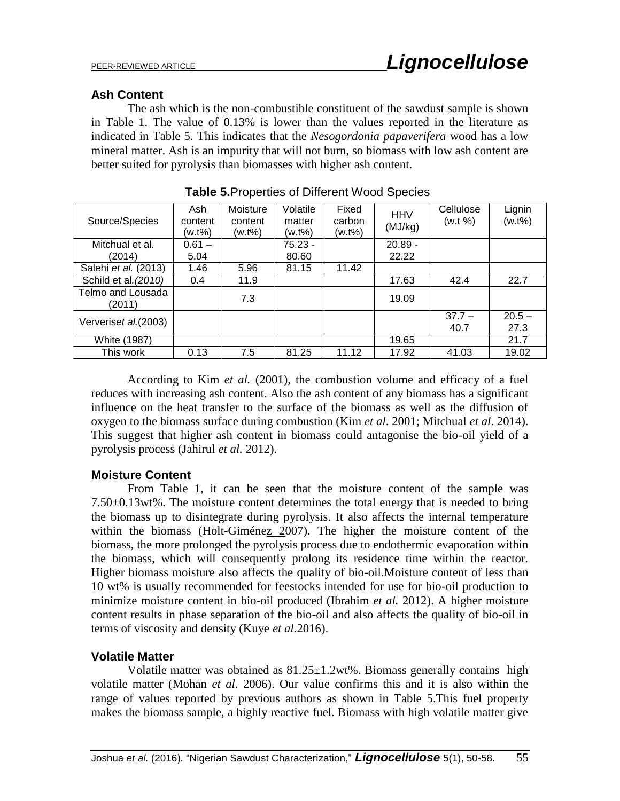## **Ash Content**

The ash which is the non-combustible constituent of the sawdust sample is shown in Table 1. The value of 0.13% is lower than the values reported in the literature as indicated in Table 5. This indicates that the *Nesogordonia papaverifera* wood has a low mineral matter. Ash is an impurity that will not burn, so biomass with low ash content are better suited for pyrolysis than biomasses with higher ash content.

| Source/Species              | Ash<br>content<br>(w.t%) | Moisture<br>content<br>(w.t%) | Volatile<br>matter<br>(w.t%) | Fixed<br>carbon<br>(w.t%) | <b>HHV</b><br>(MJ/kg) | Cellulose<br>(w.t  %) | Lignin<br>(w.t%) |
|-----------------------------|--------------------------|-------------------------------|------------------------------|---------------------------|-----------------------|-----------------------|------------------|
| Mitchual et al.<br>(2014)   | $0.61 -$<br>5.04         |                               | $75.23 -$<br>80.60           |                           | $20.89 -$<br>22.22    |                       |                  |
| Salehi et al. (2013)        | 1.46                     | 5.96                          | 81.15                        | 11.42                     |                       |                       |                  |
| Schild et al. (2010)        | 0.4                      | 11.9                          |                              |                           | 17.63                 | 42.4                  | 22.7             |
| Telmo and Lousada<br>(2011) |                          | 7.3                           |                              |                           | 19.09                 |                       |                  |
| Ververiset al. (2003)       |                          |                               |                              |                           |                       | $37.7 -$<br>40.7      | $20.5 -$<br>27.3 |
| White (1987)                |                          |                               |                              |                           | 19.65                 |                       | 21.7             |
| This work                   | 0.13                     | 7.5                           | 81.25                        | 11.12                     | 17.92                 | 41.03                 | 19.02            |

**Table 5.**Properties of Different Wood Species

According to Kim *et al.* (2001), the combustion volume and efficacy of a fuel reduces with increasing ash content. Also the ash content of any biomass has a significant influence on the heat transfer to the surface of the biomass as well as the diffusion of oxygen to the biomass surface during combustion (Kim *et al*. 2001; Mitchual *et al*. 2014). This suggest that higher ash content in biomass could antagonise the bio-oil yield of a pyrolysis process (Jahirul *et al.* 2012).

## **Moisture Content**

From Table 1, it can be seen that the moisture content of the sample was 7.50±0.13wt%. The moisture content determines the total energy that is needed to bring the biomass up to disintegrate during pyrolysis. It also affects the internal temperature within the biomass (Holt-Giménez 2007). The higher the moisture content of the biomass, the more prolonged the pyrolysis process due to endothermic evaporation within the biomass, which will consequently prolong its residence time within the reactor. Higher biomass moisture also affects the quality of bio-oil.Moisture content of less than 10 wt% is usually recommended for feestocks intended for use for bio-oil production to minimize moisture content in bio-oil produced (Ibrahim *et al.* 2012). A higher moisture content results in phase separation of the bio-oil and also affects the quality of bio-oil in terms of viscosity and density (Kuye *et al.*2016).

## **Volatile Matter**

Volatile matter was obtained as  $81.25 \pm 1.2$  wt%. Biomass generally contains high volatile matter (Mohan *et al.* 2006). Our value confirms this and it is also within the range of values reported by previous authors as shown in Table 5.This fuel property makes the biomass sample, a highly reactive fuel. Biomass with high volatile matter give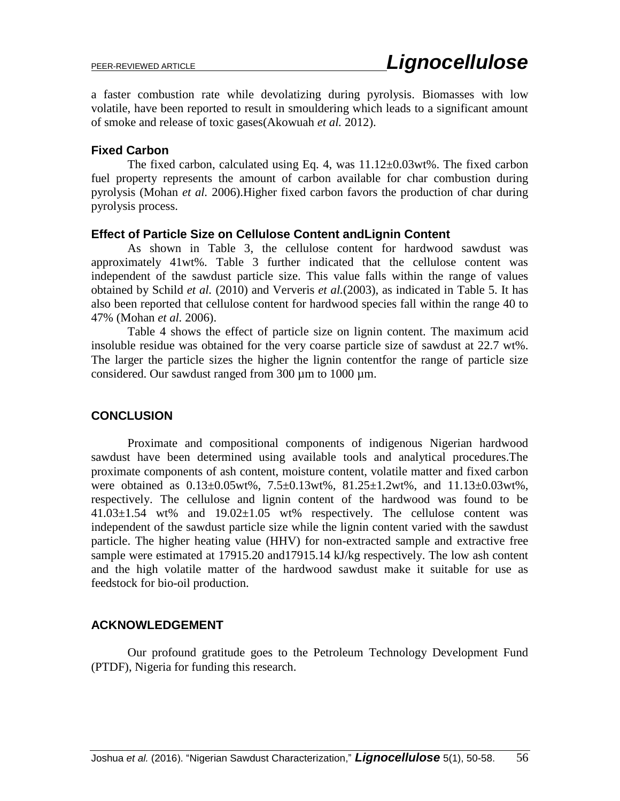a faster combustion rate while devolatizing during pyrolysis. Biomasses with low volatile, have been reported to result in smouldering which leads to a significant amount of smoke and release of toxic gases(Akowuah *et al.* 2012).

## **Fixed Carbon**

The fixed carbon, calculated using Eq. 4, was  $11.12\pm0.03$  wt%. The fixed carbon fuel property represents the amount of carbon available for char combustion during pyrolysis (Mohan *et al.* 2006).Higher fixed carbon favors the production of char during pyrolysis process.

#### **Effect of Particle Size on Cellulose Content andLignin Content**

As shown in Table 3, the cellulose content for hardwood sawdust was approximately 41wt%. Table 3 further indicated that the cellulose content was independent of the sawdust particle size. This value falls within the range of values obtained by Schild *et al.* (2010) and Ververis *et al.*(2003), as indicated in Table 5. It has also been reported that cellulose content for hardwood species fall within the range 40 to 47% (Mohan *et al.* 2006).

Table 4 shows the effect of particle size on lignin content. The maximum acid insoluble residue was obtained for the very coarse particle size of sawdust at 22.7 wt%. The larger the particle sizes the higher the lignin contentfor the range of particle size considered. Our sawdust ranged from 300 µm to 1000 µm.

## **CONCLUSION**

Proximate and compositional components of indigenous Nigerian hardwood sawdust have been determined using available tools and analytical procedures.The proximate components of ash content, moisture content, volatile matter and fixed carbon were obtained as 0.13±0.05wt%, 7.5±0.13wt%, 81.25±1.2wt%, and 11.13±0.03wt%, respectively. The cellulose and lignin content of the hardwood was found to be  $41.03\pm1.54$  wt% and  $19.02\pm1.05$  wt% respectively. The cellulose content was independent of the sawdust particle size while the lignin content varied with the sawdust particle. The higher heating value (HHV) for non-extracted sample and extractive free sample were estimated at 17915.20 and17915.14 kJ/kg respectively. The low ash content and the high volatile matter of the hardwood sawdust make it suitable for use as feedstock for bio-oil production.

#### **ACKNOWLEDGEMENT**

Our profound gratitude goes to the Petroleum Technology Development Fund (PTDF), Nigeria for funding this research.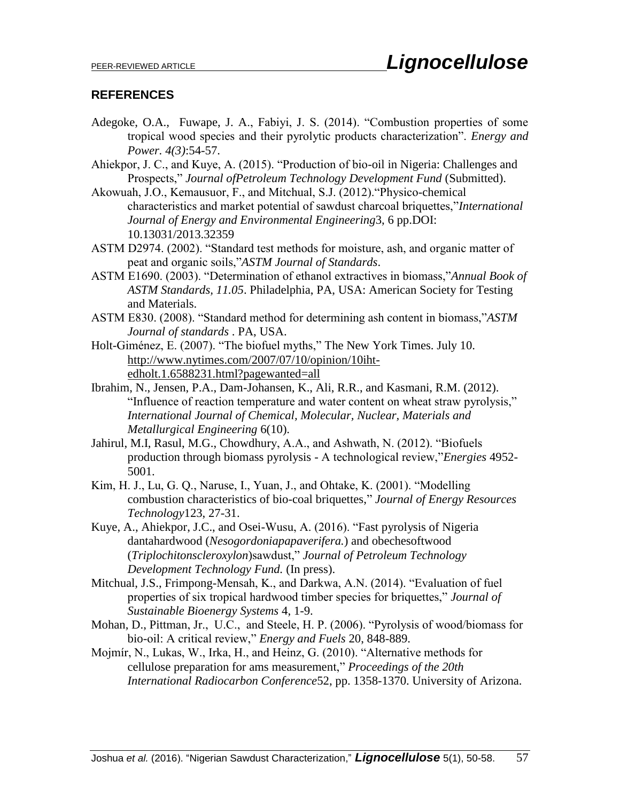## **REFERENCES**

- Adegoke, O.A., Fuwape, J. A., Fabiyi, J. S. (2014). "Combustion properties of some tropical wood species and their pyrolytic products characterization". *Energy and Power. 4(3)*:54-57.
- Ahiekpor, J. C., and Kuye, A. (2015). "Production of bio-oil in Nigeria: Challenges and Prospects," *Journal ofPetroleum Technology Development Fund* (Submitted).
- Akowuah, J.O., Kemausuor, F., and Mitchual, S.J. (2012)."Physico-chemical characteristics and market potential of sawdust charcoal briquettes,"*International Journal of Energy and Environmental Engineering*3, 6 pp.DOI: 10.13031/2013.32359
- ASTM D2974. (2002). "Standard test methods for moisture, ash, and organic matter of peat and organic soils,"*ASTM Journal of Standards*.
- ASTM E1690. (2003). "Determination of ethanol extractives in biomass,"*Annual Book of ASTM Standards, 11.05*. Philadelphia, PA, USA: American Society for Testing and Materials.
- ASTM E830. (2008). "Standard method for determining ash content in biomass,"*ASTM Journal of standards* . PA, USA.

Holt-Giménez, E. (2007). "The biofuel myths," The New York Times. July 10. [http://www.nytimes.com/2007/07/10/opinion/10iht](http://www.nytimes.com/2007/07/10/opinion/10iht-edholt.1.6588231.html?pagewanted=all)[edholt.1.6588231.html?pagewanted=all](http://www.nytimes.com/2007/07/10/opinion/10iht-edholt.1.6588231.html?pagewanted=all)

- Ibrahim, N., Jensen, P.A., Dam-Johansen, K., Ali, R.R., and Kasmani, R.M. (2012). "Influence of reaction temperature and water content on wheat straw pyrolysis," *International Journal of Chemical, Molecular, Nuclear, Materials and Metallurgical Engineering* 6(10).
- Jahirul, M.I, Rasul, M.G., Chowdhury, A.A., and Ashwath, N. (2012). "Biofuels production through biomass pyrolysis - A technological review,"*Energies* 4952- 5001.
- Kim, H. J., Lu, G. Q., Naruse, I., Yuan, J., and Ohtake, K. (2001). "Modelling combustion characteristics of bio-coal briquettes," *Journal of Energy Resources Technology*123, 27-31.
- Kuye, A., Ahiekpor, J.C., and Osei-Wusu, A. (2016). "Fast pyrolysis of Nigeria dantahardwood (*Nesogordoniapapaverifera.*) and obechesoftwood (*Triplochitonscleroxylon*)sawdust," *Journal of Petroleum Technology Development Technology Fund.* (In press).
- Mitchual, J.S., Frimpong-Mensah, K., and Darkwa, A.N. (2014). "Evaluation of fuel properties of six tropical hardwood timber species for briquettes," *Journal of Sustainable Bioenergy Systems* 4, 1-9.
- Mohan, D., Pittman, Jr., U.C., and Steele, H. P. (2006). "Pyrolysis of wood/biomass for bio-oil: A critical review," *Energy and Fuels* 20, 848-889.
- Mojmír, N., Lukas, W., Irka, H., and Heinz, G. (2010). "Alternative methods for cellulose preparation for ams measurement," *Proceedings of the 20th International Radiocarbon Conference*52, pp. 1358-1370. University of Arizona.